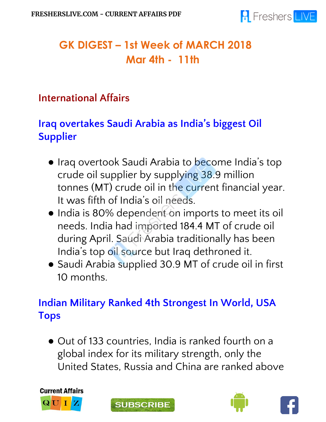

# **GK DIGEST – 1st Week of MARCH 2018 Mar 4th - 11th**

#### **International Affairs**

## **Iraq overtakes Saudi Arabia as India's biggest Oil Supplier**

- Iraq overtook Saudi Arabia to become India's top crude oil supplier by supplying 38.9 million tonnes (MT) crude oil in the current financial year. It was fifth of India's oil needs.
- India is 80% dependent on imports to meet its oil needs. India had imported 184.4 MT of crude oil during April. Saudi Arabia traditionally has been India's top oil source but Iraq dethroned it.
- Saudi Arabia supplied 30.9 MT of crude oil in first 10 months.

# **Indian Military Ranked 4th Strongest In World, USA Tops**

● Out of 133 countries, India is ranked fourth on a global index for its military strength, only the United States, Russia and China are ranked above







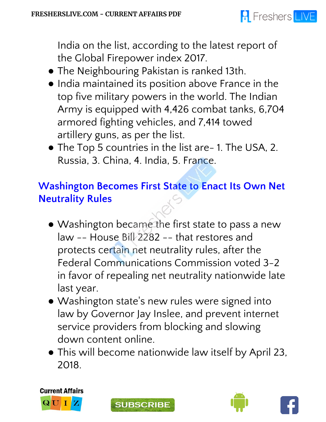

India on the list, according to the latest report of the Global Firepower index 2017.

- The Neighbouring Pakistan is ranked 13th.
- India maintained its position above France in the top five military powers in the world. The Indian Army is equipped with 4,426 combat tanks, 6,704 armored fighting vehicles, and 7,414 towed artillery guns, as per the list.
- The Top 5 countries in the list are- 1. The USA, 2. Russia, 3. China, 4. India, 5. France.

## **Washington Becomes First State to Enact Its Own Net Neutrality Rules**

- Washington became the first state to pass a new law -- House Bill 2282 -- that restores and protects certain net neutrality rules, after the Federal Communications Commission voted 3-2 in favor of repealing net neutrality nationwide late last year.
- Washington state ' s new rules were signed into law by Governor Jay Inslee, and prevent internet service providers from blocking and slowing down content online.
- This will become nationwide law itself by April 23, 2018.







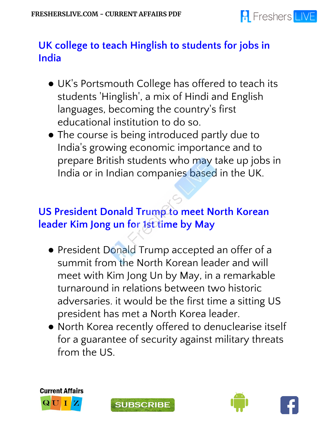

## **UK college to teach Hinglish to students for jobs in India**

- UK' s Portsmouth College has offered to teach its students 'Hinglish', a mix of Hindi and English languages, becoming the country ' s first educational institution to do so.
- The course is being introduced partly due to India ' s growing economic importance and to prepare British students who may take up jobs in India or in Indian companies based in the UK.

## **US President Donald Trump to meet North Korean leader Kim Jong un for 1st time by May**

- President Donald Trump accepted an offer of a summit from the North Korean leader and will meet with Kim Jong Un by May, in a remarkable turnaround in relations between two historic adversaries. it would be the first time a sitting US president has met a North Korea leader.
- North Korea recently offered to denuclearise itself for a guarantee of security against military threats from the US.







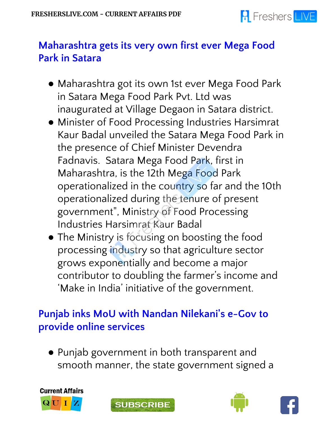

#### **Maharashtra gets its very own first ever Mega Food Park in Satara**

- Maharashtra got its own 1st ever Mega Food Park in Satara Mega Food Park Pvt. Ltd was inaugurated at Village Degaon in Satara district.
- Minister of Food Processing Industries Harsimrat Kaur Badal unveiled the Satara Mega Food Park in the presence of Chief Minister Devendra Fadnavis. Satara Mega Food Park, first in Maharashtra, is the 12th Mega Food Park operationalized in the country so far and the 10th operationalized during the tenure of present government", Ministry of Food Processing Industries Harsimrat Kaur Badal
- The Ministry is focusing on boosting the food processing industry so that agriculture sector grows exponentially and become a major contributor to doubling the farmer's income and 'Make in India' initiative of the government.

#### **Punjab inks MoU with Nandan Nilekani' s e-Gov to provide online services**

● Punjab government in both transparent and smooth manner, the state government signed a

**SUBSCRIBE** 





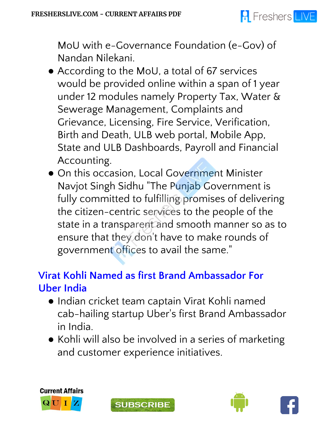

MoU with e-Governance Foundation (e-Gov) of Nandan Nilekani.

- According to the MoU, a total of 67 services would be provided online within a span of 1 year under 12 modules namely Property Tax, Water & Sewerage Management, Complaints and Grievance, Licensing, Fire Service, Verification, Birth and Death, ULB web portal, Mobile App, State and ULB Dashboards, Payroll and Financial Accounting.
- On this occasion, Local Government Minister Navjot Singh Sidhu "The Punjab Government is fully committed to fulfilling promises of delivering the citizen-centric services to the people of the state in a transparent and smooth manner so as to ensure that they don 't have to make rounds of government offices to avail the same."

# **Virat Kohli Named as first Brand Ambassador For Uber India**

- Indian cricket team captain Virat Kohli named cab-hailing startup Uber ' s first Brand Ambassador in India.
- Kohli will also be involved in a series of marketing and customer experience initiatives.







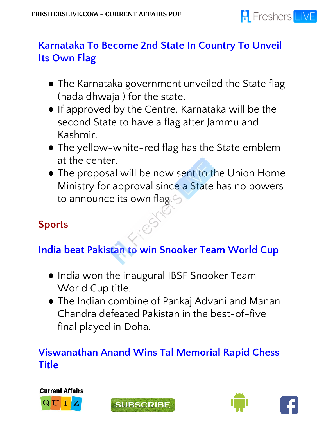

## **Karnataka To Become 2nd State In Country To Unveil Its Own Flag**

- The Karnataka government unveiled the State flag (nada dhwaja ) for the state.
- If approved by the Centre, Karnataka will be the second State to have a flag after Jammu and Kashmir.
- The yellow-white-red flag has the State emblem at the center.
- The proposal will be now sent to the Union Home Ministry for approval since a State has no powers to announce its own flag.

# **Sports**

# **India beat Pakistan to win Snooker Team World Cup**

- India won the inaugural IBSF Snooker Team World Cup title.
- The Indian combine of Pankaj Advani and Manan Chandra defeated Pakistan in the best-of-five final played in Doha.

## **Viswanathan Anand Wins Tal Memorial Rapid Chess Title**







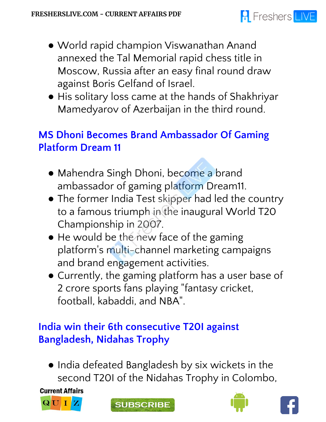- World rapid champion Viswanathan Anand annexed the Tal Memorial rapid chess title in Moscow, Russia after an easy final round draw against Boris Gelfand of Israel.
- His solitary loss came at the hands of Shakhriyar Mamedyarov of Azerbaijan in the third round.

## **MS Dhoni Becomes Brand Ambassador Of Gaming Platform Dream 11**

- Mahendra Singh Dhoni, become a brand ambassador of gaming platform Dream11.
- The former India Test skipper had led the country to a famous triumph in the inaugural World T20 Championship in 2007.
- He would be the new face of the gaming platform ' s multi-channel marketing campaigns and brand engagement activities.
- Currently, the gaming platform has a user base of 2 crore sports fans playing "fantasy cricket, football, kabaddi, and NBA".

## **India win their 6th consecutive T20I against Bangladesh, Nidahas Trophy**

● India defeated Bangladesh by six wickets in the second T20I of the Nidahas Trophy in Colombo,

**Current Affairs** 









**R** Freshers LIVE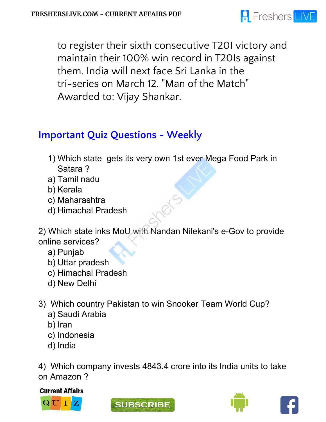

to register their sixth consecutive T20I victory and maintain their 100% win record in T20Is against them. India will next face Sri Lanka in the tri-series on March 12. "Man of the Match" Awarded to: Vijay Shankar.

## **Important Quiz Questions - Weekly**

- 1) Which state gets its very own 1st ever Mega Food Park in Satara ?
- a) Tamil nadu
- b) Kerala
- c) Maharashtra
- d) Himachal Pradesh

2) Which state inks MoU with Nandan Nilekani's e-Gov to provide online services?

- a) Punjab
- b) Uttar pradesh
- c) Himachal Pradesh
- d) New Delhi
- 3) Which country Pakistan to win Snooker Team World Cup?
	- a) Saudi Arabia
	- b) Iran
	- c) Indonesia
	- d) India

4) Which company invests 4843.4 crore into its India units to take on Amazon ?

**Current Affairs** 







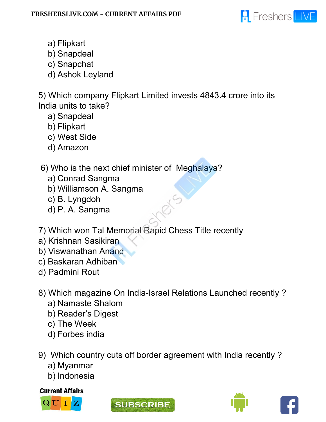

- a) Flipkart
- b) Snapdeal
- c) Snapchat
- d) Ashok Leyland

5) Which company Flipkart Limited invests 4843.4 crore into its India units to take?

- a) Snapdeal
- b) Flipkart
- c) West Side
- d) Amazon

#### 6) Who is the next chief minister of Meghalaya?

- a) Conrad Sangma
- b) Williamson A. Sangma
- c) B. Lyngdoh
- d) P. A. Sangma
- 7) Which won Tal Memorial Rapid Chess Title recently
- a) Krishnan Sasikiran
- b) Viswanathan Anand
- c) Baskaran Adhiban
- d) Padmini Rout
- 8) Which magazine On India-Israel Relations Launched recently ?
	- a) Namaste Shalom
	- b) Reader's Digest
	- c) The Week
	- d) Forbes india
- 9) Which country cuts off border agreement with India recently ?
	- a) Myanmar
	- b) Indonesia

#### **Current Affairs**







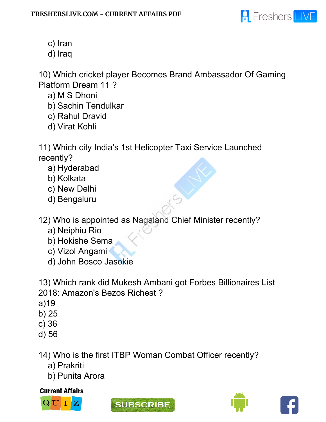

- c) Iran
- d) Iraq

10) Which cricket player Becomes Brand Ambassador Of Gaming Platform Dream 11 ?

- a) M S Dhoni
- b) Sachin Tendulkar
- c) Rahul Dravid
- d) Virat Kohli

11) Which city India's 1st Helicopter Taxi Service Launched recently?

- a) Hyderabad
- b) Kolkata
- c) New Delhi
- d) Bengaluru

12) Who is appointed as Nagaland Chief Minister recently?

- a) Neiphiu Rio
- b) Hokishe Sema
- c) Vizol Angami
- d) John Bosco Jasokie

13) Which rank did Mukesh Ambani got Forbes Billionaires List 2018: Amazon's Bezos Richest ?

- a)19
- b) 25
- c) 36
- d) 56

14) Who is the first ITBP Woman Combat Officer recently?

- a) Prakriti
- b) Punita Arora

**Current Affairs**